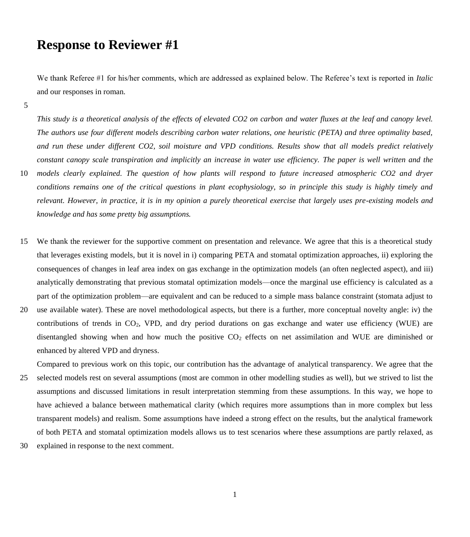## **Response to Reviewer #1**

We thank Referee #1 for his/her comments, which are addressed as explained below. The Referee's text is reported in *Italic* and our responses in roman.

5

*This study is a theoretical analysis of the effects of elevated CO2 on carbon and water fluxes at the leaf and canopy level. The authors use four different models describing carbon water relations, one heuristic (PETA) and three optimality based, and run these under different CO2, soil moisture and VPD conditions. Results show that all models predict relatively constant canopy scale transpiration and implicitly an increase in water use efficiency. The paper is well written and the*  10 *models clearly explained. The question of how plants will respond to future increased atmospheric CO2 and dryer* 

- *conditions remains one of the critical questions in plant ecophysiology, so in principle this study is highly timely and relevant. However, in practice, it is in my opinion a purely theoretical exercise that largely uses pre-existing models and knowledge and has some pretty big assumptions.*
- 15 We thank the reviewer for the supportive comment on presentation and relevance. We agree that this is a theoretical study that leverages existing models, but it is novel in i) comparing PETA and stomatal optimization approaches, ii) exploring the consequences of changes in leaf area index on gas exchange in the optimization models (an often neglected aspect), and iii) analytically demonstrating that previous stomatal optimization models—once the marginal use efficiency is calculated as a part of the optimization problem—are equivalent and can be reduced to a simple mass balance constraint (stomata adjust to
- 20 use available water). These are novel methodological aspects, but there is a further, more conceptual novelty angle: iv) the contributions of trends in CO<sub>2</sub>, VPD, and dry period durations on gas exchange and water use efficiency (WUE) are disentangled showing when and how much the positive  $CO<sub>2</sub>$  effects on net assimilation and WUE are diminished or enhanced by altered VPD and dryness.

Compared to previous work on this topic, our contribution has the advantage of analytical transparency. We agree that the

- 25 selected models rest on several assumptions (most are common in other modelling studies as well), but we strived to list the assumptions and discussed limitations in result interpretation stemming from these assumptions. In this way, we hope to have achieved a balance between mathematical clarity (which requires more assumptions than in more complex but less transparent models) and realism. Some assumptions have indeed a strong effect on the results, but the analytical framework of both PETA and stomatal optimization models allows us to test scenarios where these assumptions are partly relaxed, as
- 30 explained in response to the next comment.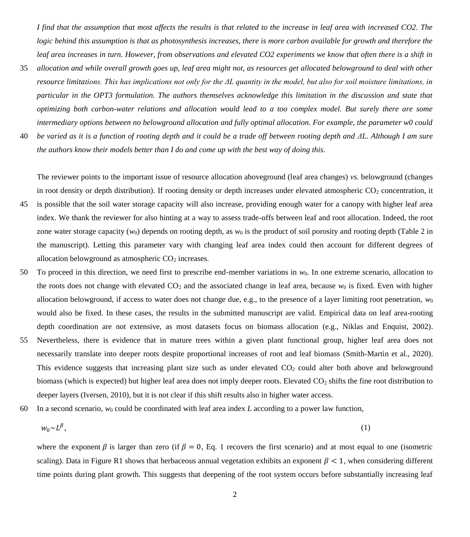*I find that the assumption that most affects the results is that related to the increase in leaf area with increased CO2. The logic behind this assumption is that as photosynthesis increases, there is more carbon available for growth and therefore the leaf area increases in turn. However, from observations and elevated CO2 experiments we know that often there is a shift in* 

- 35 *allocation and while overall growth goes up, leaf area might not, as resources get allocated belowground to deal with other resource limitations. This has implications not only for the ΔL quantity in the model, but also for soil moisture limitations, in particular in the OPT3 formulation. The authors themselves acknowledge this limitation in the discussion and state that optimizing both carbon-water relations and allocation would lead to a too complex model. But surely there are some intermediary options between no belowground allocation and fully optimal allocation. For example, the parameter w0 could*
- 40 *be varied as it is a function of rooting depth and it could be a trade off between rooting depth and ΔL. Although I am sure the authors know their models better than I do and come up with the best way of doing this.*

The reviewer points to the important issue of resource allocation aboveground (leaf area changes) *vs.* belowground (changes in root density or depth distribution). If rooting density or depth increases under elevated atmospheric  $CO<sub>2</sub>$  concentration, it

- 45 is possible that the soil water storage capacity will also increase, providing enough water for a canopy with higher leaf area index. We thank the reviewer for also hinting at a way to assess trade-offs between leaf and root allocation. Indeed, the root zone water storage capacity ( $w_0$ ) depends on rooting depth, as  $w_0$  is the product of soil porosity and rooting depth (Table 2 in the manuscript). Letting this parameter vary with changing leaf area index could then account for different degrees of allocation belowground as atmospheric  $CO<sub>2</sub>$  increases.
- 50 To proceed in this direction, we need first to prescribe end-member variations in *w*0. In one extreme scenario, allocation to the roots does not change with elevated  $CO<sub>2</sub>$  and the associated change in leaf area, because  $w<sub>0</sub>$  is fixed. Even with higher allocation belowground, if access to water does not change due, e.g., to the presence of a layer limiting root penetration, *w*<sup>0</sup> would also be fixed. In these cases, the results in the submitted manuscript are valid. Empirical data on leaf area-rooting depth coordination are not extensive, as most datasets focus on biomass allocation (e.g., Niklas and Enquist, 2002).
- 55 Nevertheless, there is evidence that in mature trees within a given plant functional group, higher leaf area does not necessarily translate into deeper roots despite proportional increases of root and leaf biomass (Smith-Martin et al., 2020). This evidence suggests that increasing plant size such as under elevated CO<sub>2</sub> could alter both above and belowground biomass (which is expected) but higher leaf area does not imply deeper roots. Elevated CO<sub>2</sub> shifts the fine root distribution to deeper layers (Iversen, 2010), but it is not clear if this shift results also in higher water access.
- 60 In a second scenario,  $w_0$  could be coordinated with leaf area index L according to a power law function,

<span id="page-1-0"></span>
$$
w_0 \sim L^{\beta}, \tag{1}
$$

where the exponent  $\beta$  is larger than zero (if  $\beta = 0$ , Eq. 1 recovers the first scenario) and at most equal to one (isometric scaling). Data in Figure R1 shows that herbaceous annual vegetation exhibits an exponent  $\beta < 1$ , when considering different time points during plant growth. This suggests that deepening of the root system occurs before substantially increasing leaf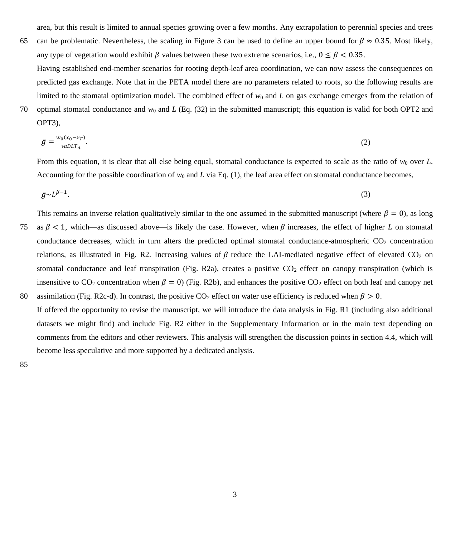area, but this result is limited to annual species growing over a few months. Any extrapolation to perennial species and trees

limited to the stomatal optimization model. The combined effect of  $w_0$  and L on gas exchange emerges from the relation of

- 65 can be problematic. Nevertheless, the scaling in Figure 3 can be used to define an upper bound for  $\beta \approx 0.35$ . Most likely, any type of vegetation would exhibit  $\beta$  values between these two extreme scenarios, i.e.,  $0 \le \beta < 0.35$ . Having established end-member scenarios for rooting depth-leaf area coordination, we can now assess the consequences on predicted gas exchange. Note that in the PETA model there are no parameters related to roots, so the following results are
- 70 optimal stomatal conductance and  $w_0$  and *L* (Eq. (32) in the submitted manuscript; this equation is valid for both OPT2 and OPT3),

$$
\bar{g} = \frac{w_0(x_0 - x_T)}{v \cdot a \cdot D L T_d}.\tag{2}
$$

From this equation, it is clear that all else being equal, stomatal conductance is expected to scale as the ratio of  $w_0$  over  $L$ . Accounting for the possible coordination of  $w_0$  and *L* via Eq. [\(1\),](#page-1-0) the leaf area effect on stomatal conductance becomes,

$$
\bar{g} \sim L^{\beta - 1}.\tag{3}
$$

This remains an inverse relation qualitatively similar to the one assumed in the submitted manuscript (where  $\beta = 0$ ), as long

- 75 as  $\beta$  < 1, which—as discussed above—is likely the case. However, when  $\beta$  increases, the effect of higher *L* on stomatal conductance decreases, which in turn alters the predicted optimal stomatal conductance-atmospheric  $CO<sub>2</sub>$  concentration relations, as illustrated in Fig. R2. Increasing values of  $\beta$  reduce the LAI-mediated negative effect of elevated CO<sub>2</sub> on stomatal conductance and leaf transpiration (Fig. R2a), creates a positive  $CO<sub>2</sub>$  effect on canopy transpiration (which is insensitive to  $CO_2$  concentration when  $\beta = 0$ ) (Fig. R2b), and enhances the positive  $CO_2$  effect on both leaf and canopy net 80 assimilation (Fig. R2c-d). In contrast, the positive CO<sub>2</sub> effect on water use efficiency is reduced when  $\beta > 0$ .
- If offered the opportunity to revise the manuscript, we will introduce the data analysis in Fig. R1 (including also additional datasets we might find) and include Fig. R2 either in the Supplementary Information or in the main text depending on comments from the editors and other reviewers. This analysis will strengthen the discussion points in section 4.4, which will become less speculative and more supported by a dedicated analysis.

85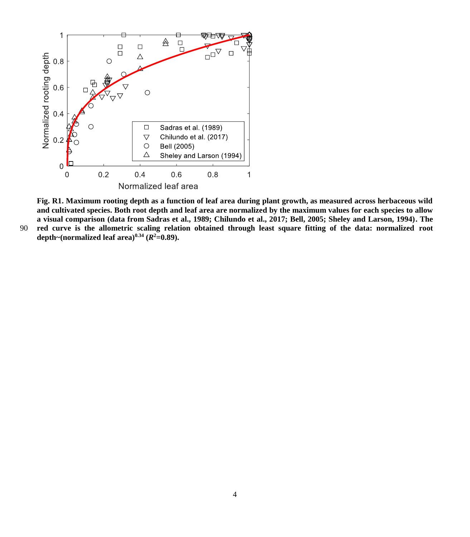

**Fig. R1. Maximum rooting depth as a function of leaf area during plant growth, as measured across herbaceous wild and cultivated species. Both root depth and leaf area are normalized by the maximum values for each species to allow a visual comparison (data from Sadras et al., 1989; Chilundo et al., 2017; Bell, 2005; Sheley and Larson, 1994). The**  90 **red curve is the allometric scaling relation obtained through least square fitting of the data: normalized root depth~(normalized leaf area)0.34 (***R* **2=0.89).**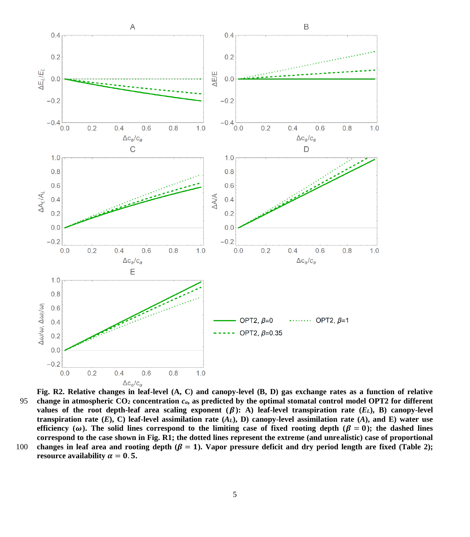

**Fig. R2. Relative changes in leaf-level (A, C) and canopy-level (B, D) gas exchange rates as a function of relative**  95 **change in atmospheric CO<sup>2</sup> concentration** *ca***, as predicted by the optimal stomatal control model OPT2 for different values of the root depth-leaf area scaling exponent**  $(\beta)$ **: A) leaf-level transpiration rate**  $(E_L)$ **, B) canopy-level transpiration rate**  $(E)$ , C) leaf-level assimilation rate  $(A_L)$ , D) canopy-level assimilation rate  $(A)$ , and E) water use efficiency ( $\omega$ ). The solid lines correspond to the limiting case of fixed rooting depth ( $\beta = 0$ ); the dashed lines **correspond to the case shown in Fig. R1; the dotted lines represent the extreme (and unrealistic) case of proportional**  100 changes in leaf area and rooting depth  $(\beta = 1)$ . Vapor pressure deficit and dry period length are fixed (Table 2);

**resource availability**  $\alpha = 0.5$ **.**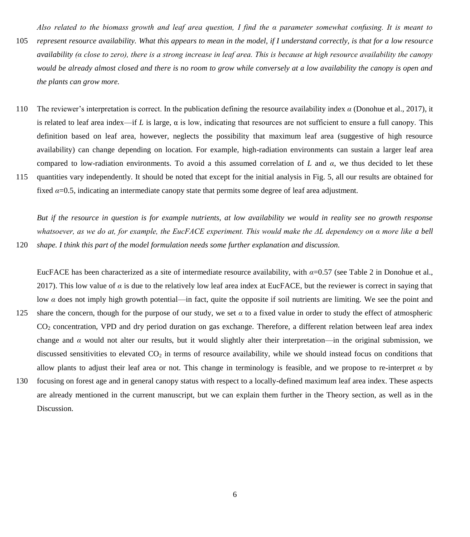*Also related to the biomass growth and leaf area question, I find the α parameter somewhat confusing. It is meant to* 

- 105 *represent resource availability. What this appears to mean in the model, if I understand correctly, is that for a low resource availability (α close to zero), there is a strong increase in leaf area. This is because at high resource availability the canopy would be already almost closed and there is no room to grow while conversely at a low availability the canopy is open and the plants can grow more.*
- 110 The reviewer's interpretation is correct. In the publication defining the resource availability index *α* (Donohue et al., 2017), it is related to leaf area index—if *L* is large,  $\alpha$  is low, indicating that resources are not sufficient to ensure a full canopy. This definition based on leaf area, however, neglects the possibility that maximum leaf area (suggestive of high resource availability) can change depending on location. For example, high-radiation environments can sustain a larger leaf area compared to low-radiation environments. To avoid a this assumed correlation of *L* and *α*, we thus decided to let these
- 115 quantities vary independently. It should be noted that except for the initial analysis in Fig. 5, all our results are obtained for fixed *α*=0.5, indicating an intermediate canopy state that permits some degree of leaf area adjustment.

*But if the resource in question is for example nutrients, at low availability we would in reality see no growth response whatsoever, as we do at, for example, the EucFACE experiment. This would make the ΔL dependency on α more like a bell*  120 *shape. I think this part of the model formulation needs some further explanation and discussion.*

EucFACE has been characterized as a site of intermediate resource availability, with *α*=0.57 (see Table 2 in Donohue et al., 2017). This low value of  $\alpha$  is due to the relatively low leaf area index at EucFACE, but the reviewer is correct in saying that low *α* does not imply high growth potential—in fact, quite the opposite if soil nutrients are limiting. We see the point and 125 share the concern, though for the purpose of our study, we set *α* to a fixed value in order to study the effect of atmospheric CO<sup>2</sup> concentration, VPD and dry period duration on gas exchange. Therefore, a different relation between leaf area index change and  $\alpha$  would not alter our results, but it would slightly alter their interpretation—in the original submission, we discussed sensitivities to elevated  $CO<sub>2</sub>$  in terms of resource availability, while we should instead focus on conditions that allow plants to adjust their leaf area or not. This change in terminology is feasible, and we propose to re-interpret  $\alpha$  by 130 focusing on forest age and in general canopy status with respect to a locally-defined maximum leaf area index. These aspects are already mentioned in the current manuscript, but we can explain them further in the Theory section, as well as in the Discussion.